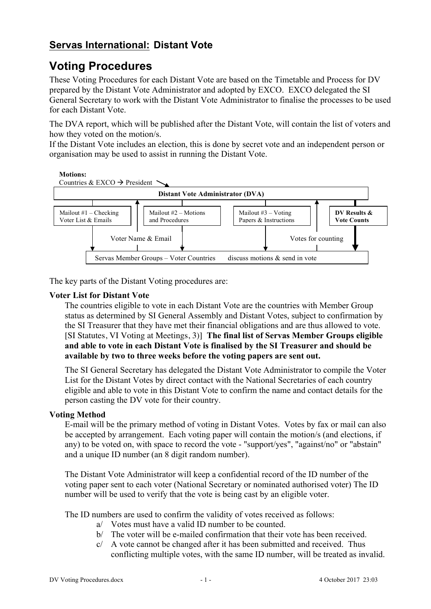## **Servas International: Distant Vote**

# **Voting Procedures**

These Voting Procedures for each Distant Vote are based on the Timetable and Process for DV prepared by the Distant Vote Administrator and adopted by EXCO. EXCO delegated the SI General Secretary to work with the Distant Vote Administrator to finalise the processes to be used for each Distant Vote.

The DVA report, which will be published after the Distant Vote, will contain the list of voters and how they voted on the motion/s.

If the Distant Vote includes an election, this is done by secret vote and an independent person or organisation may be used to assist in running the Distant Vote.



The key parts of the Distant Voting procedures are:

#### **Voter List for Distant Vote**

The countries eligible to vote in each Distant Vote are the countries with Member Group status as determined by SI General Assembly and Distant Votes, subject to confirmation by  $\frac{1}{2}$ the SI Treasurer that they have met their financial obligations and are thus allowed to vote. [SI Statutes, VI Voting at Meetings, 3)] **The final list of Servas Member Groups eligible**  and able to vote in each Distant Vote is finalised by the SI Treasurer and should be available by two to three weeks before the voting papers are sent out. and able to vote in  $M_{\rm{2}} = 2.1$ istant vote mailout #3 – Votarius + Votarius + Votarius + Votarius + Votarius + Votarius + Vo<br>United + Votarius + Votarius + Votarius + Votarius + Votarius + Votarius + Votarius + Votarius + Votarius + Vo dy the 51-1 **DV Resultation SHOUIG** L

The SI General Secretary has delegated the Distant Vote Administrator to compile the Voter List for the Distant Votes by direct contact with the National Secretaries of each country eligible and able to vote in this Distant Vote to confirm the name and contact details for the person casting the DV vote for their country.

#### **Voting Method**

E-mail will be the primary method of voting in Distant Votes. Votes by fax or mail can also be accepted by arrangement. Each voting paper will contain the motion/s (and elections, if any) to be voted on, with space to record the vote - "support/yes", "against/no" or "abstain" and a unique ID number (an 8 digit random number).

The Distant Vote Administrator will keep a confidential record of the ID number of the voting paper sent to each voter (National Secretary or nominated authorised voter) The ID number will be used to verify that the vote is being cast by an eligible voter.

The ID numbers are used to confirm the validity of votes received as follows:

- a/ Votes must have a valid ID number to be counted.
- b/ The voter will be e-mailed confirmation that their vote has been received.
- $c$  A vote cannot be changed after it has been submitted and received. Thus conflicting multiple votes, with the same ID number, will be treated as invalid.